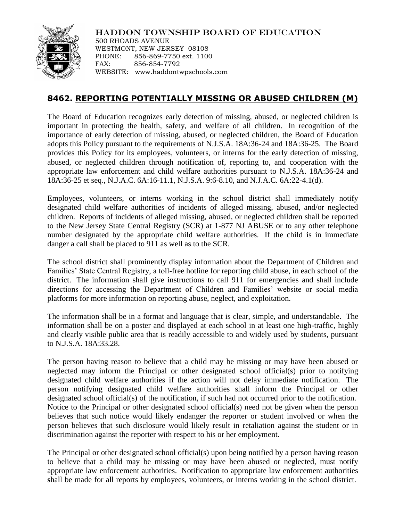

HADDON TOWNSHIP BOARD OF EDUCATION

500 RHOADS AVENUE WESTMONT, NEW JERSEY 08108 PHONE: 856-869-7750 ext. 1100 FAX: 856-854-7792 WEBSITE: www.haddontwpschools.com

## **8462. REPORTING POTENTIALLY MISSING OR ABUSED CHILDREN (M)**

The Board of Education recognizes early detection of missing, abused, or neglected children is important in protecting the health, safety, and welfare of all children. In recognition of the importance of early detection of missing, abused, or neglected children, the Board of Education adopts this Policy pursuant to the requirements of N.J.S.A. 18A:36-24 and 18A:36-25. The Board provides this Policy for its employees, volunteers, or interns for the early detection of missing, abused, or neglected children through notification of, reporting to, and cooperation with the appropriate law enforcement and child welfare authorities pursuant to N.J.S.A. 18A:36-24 and 18A:36-25 et seq., N.J.A.C. 6A:16-11.1, N.J.S.A. 9:6-8.10, and N.J.A.C. 6A:22-4.1(d).

Employees, volunteers, or interns working in the school district shall immediately notify designated child welfare authorities of incidents of alleged missing, abused, and/or neglected children. Reports of incidents of alleged missing, abused, or neglected children shall be reported to the New Jersey State Central Registry (SCR) at 1-877 NJ ABUSE or to any other telephone number designated by the appropriate child welfare authorities. If the child is in immediate danger a call shall be placed to 911 as well as to the SCR.

The school district shall prominently display information about the Department of Children and Families' State Central Registry, a toll-free hotline for reporting child abuse, in each school of the district. The information shall give instructions to call 911 for emergencies and shall include directions for accessing the Department of Children and Families' website or social media platforms for more information on reporting abuse, neglect, and exploitation.

The information shall be in a format and language that is clear, simple, and understandable. The information shall be on a poster and displayed at each school in at least one high-traffic, highly and clearly visible public area that is readily accessible to and widely used by students, pursuant to N.J.S.A. 18A:33.28.

The person having reason to believe that a child may be missing or may have been abused or neglected may inform the Principal or other designated school official(s) prior to notifying designated child welfare authorities if the action will not delay immediate notification. The person notifying designated child welfare authorities shall inform the Principal or other designated school official(s) of the notification, if such had not occurred prior to the notification. Notice to the Principal or other designated school official(s) need not be given when the person believes that such notice would likely endanger the reporter or student involved or when the person believes that such disclosure would likely result in retaliation against the student or in discrimination against the reporter with respect to his or her employment.

The Principal or other designated school official(s) upon being notified by a person having reason to believe that a child may be missing or may have been abused or neglected, must notify appropriate law enforcement authorities. Notification to appropriate law enforcement authorities **s**hall be made for all reports by employees, volunteers, or interns working in the school district.